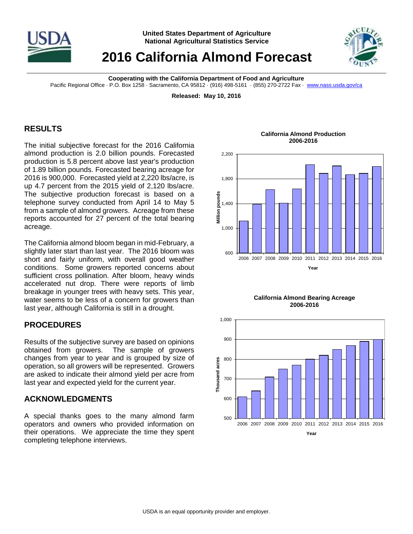

## **2016 California Almond Forecast**



**Cooperating with the California Department of Food and Agriculture**

Pacific Regional Office · P.O. Box 1258 · Sacramento, CA 95812 · (916) 498-5161 · (855) 270-2722 Fax · [www.nass.usda.gov/ca](http://www.nass.usda.gov/ca)

**Released: May 10, 2016**

## **RESULTS**

The initial subjective forecast for the 2016 California almond production is 2.0 billion pounds. Forecasted production is 5.8 percent above last year's production of 1.89 billion pounds. Forecasted bearing acreage for 2016 is 900,000. Forecasted yield at 2,220 lbs/acre, is up 4.7 percent from the 2015 yield of 2,120 lbs/acre. The subjective production forecast is based on a telephone survey conducted from April 14 to May 5 from a sample of almond growers. Acreage from these reports accounted for 27 percent of the total bearing acreage.

The California almond bloom began in mid-February, a slightly later start than last year. The 2016 bloom was short and fairly uniform, with overall good weather conditions. Some growers reported concerns about sufficient cross pollination. After bloom, heavy winds accelerated nut drop. There were reports of limb breakage in younger trees with heavy sets. This year, water seems to be less of a concern for growers than last year, although California is still in a drought.

## **PROCEDURES**

Results of the subjective survey are based on opinions obtained from growers. The sample of growers changes from year to year and is grouped by size of operation, so all growers will be represented. Growers are asked to indicate their almond yield per acre from last year and expected yield for the current year.

## **ACKNOWLEDGMENTS**

A special thanks goes to the many almond farm operators and owners who provided information on their operations. We appreciate the time they spent completing telephone interviews.

**California Almond Production 2006-2016**